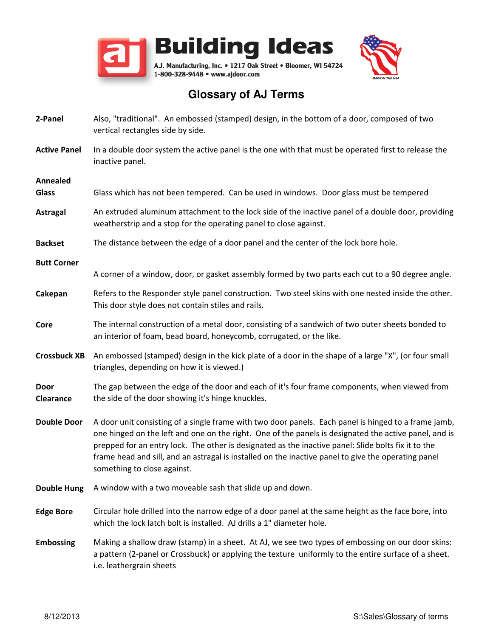

| 2-Panel                  | Also, "traditional". An embossed (stamped) design, in the bottom of a door, composed of two<br>vertical rectangles side by side.                                                                                                                                                                                                                                                                                                                           |
|--------------------------|------------------------------------------------------------------------------------------------------------------------------------------------------------------------------------------------------------------------------------------------------------------------------------------------------------------------------------------------------------------------------------------------------------------------------------------------------------|
| <b>Active Panel</b>      | In a double door system the active panel is the one with that must be operated first to release the<br>inactive panel.                                                                                                                                                                                                                                                                                                                                     |
| Annealed<br><b>Glass</b> | Glass which has not been tempered. Can be used in windows. Door glass must be tempered                                                                                                                                                                                                                                                                                                                                                                     |
| <b>Astragal</b>          | An extruded aluminum attachment to the lock side of the inactive panel of a double door, providing<br>weatherstrip and a stop for the operating panel to close against.                                                                                                                                                                                                                                                                                    |
| <b>Backset</b>           | The distance between the edge of a door panel and the center of the lock bore hole.                                                                                                                                                                                                                                                                                                                                                                        |
| <b>Butt Corner</b>       |                                                                                                                                                                                                                                                                                                                                                                                                                                                            |
|                          | A corner of a window, door, or gasket assembly formed by two parts each cut to a 90 degree angle.                                                                                                                                                                                                                                                                                                                                                          |
| Cakepan                  | Refers to the Responder style panel construction. Two steel skins with one nested inside the other.<br>This door style does not contain stiles and rails.                                                                                                                                                                                                                                                                                                  |
| Core                     | The internal construction of a metal door, consisting of a sandwich of two outer sheets bonded to<br>an interior of foam, bead board, honeycomb, corrugated, or the like.                                                                                                                                                                                                                                                                                  |
| <b>Crossbuck XB</b>      | An embossed (stamped) design in the kick plate of a door in the shape of a large "X", (or four small<br>triangles, depending on how it is viewed.)                                                                                                                                                                                                                                                                                                         |
| <b>Door</b><br>Clearance | The gap between the edge of the door and each of it's four frame components, when viewed from<br>the side of the door showing it's hinge knuckles.                                                                                                                                                                                                                                                                                                         |
| <b>Double Door</b>       | A door unit consisting of a single frame with two door panels. Each panel is hinged to a frame jamb,<br>one hinged on the left and one on the right. One of the panels is designated the active panel, and is<br>prepped for an entry lock. The other is designated as the inactive panel: Slide bolts fix it to the<br>frame head and sill, and an astragal is installed on the inactive panel to give the operating panel<br>something to close against. |
| <b>Double Hung</b>       | A window with a two moveable sash that slide up and down.                                                                                                                                                                                                                                                                                                                                                                                                  |
| <b>Edge Bore</b>         | Circular hole drilled into the narrow edge of a door panel at the same height as the face bore, into<br>which the lock latch bolt is installed. AJ drills a 1" diameter hole.                                                                                                                                                                                                                                                                              |
| <b>Embossing</b>         | Making a shallow draw (stamp) in a sheet. At AJ, we see two types of embossing on our door skins:<br>a pattern (2-panel or Crossbuck) or applying the texture uniformly to the entire surface of a sheet.<br>i.e. leathergrain sheets                                                                                                                                                                                                                      |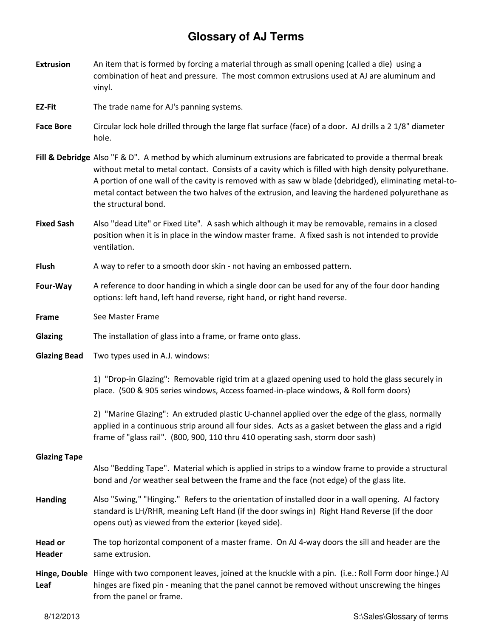- **Extrusion** An item that is formed by forcing a material through as small opening (called a die) using a combination of heat and pressure. The most common extrusions used at AJ are aluminum and vinyl.
- **EZ-Fit** The trade name for AJ's panning systems.
- Face Bore Circular lock hole drilled through the large flat surface (face) of a door. AJ drills a 21/8" diameter hole.
- Fill & Debridge Also "F & D". A method by which aluminum extrusions are fabricated to provide a thermal break without metal to metal contact. Consists of a cavity which is filled with high density polyurethane. A portion of one wall of the cavity is removed with as saw w blade (debridged), eliminating metal-tometal contact between the two halves of the extrusion, and leaving the hardened polyurethane as the structural bond.
- Fixed Sash Also "dead Lite" or Fixed Lite". A sash which although it may be removable, remains in a closed position when it is in place in the window master frame. A fixed sash is not intended to provide ventilation.
- Flush A way to refer to a smooth door skin not having an embossed pattern.
- Four-Way A reference to door handing in which a single door can be used for any of the four door handing options: left hand, left hand reverse, right hand, or right hand reverse.
- Frame See Master Frame
- Glazing The installation of glass into a frame, or frame onto glass.
- Glazing Bead Two types used in A.J. windows:

1) "Drop-in Glazing": Removable rigid trim at a glazed opening used to hold the glass securely in place. (500 & 905 series windows, Access foamed-in-place windows, & Roll form doors)

2) "Marine Glazing": An extruded plastic U-channel applied over the edge of the glass, normally applied in a continuous strip around all four sides. Acts as a gasket between the glass and a rigid frame of "glass rail". (800, 900, 110 thru 410 operating sash, storm door sash)

#### Glazing Tape

- Also "Bedding Tape". Material which is applied in strips to a window frame to provide a structural bond and /or weather seal between the frame and the face (not edge) of the glass lite.
- Handing Also "Swing," "Hinging." Refers to the orientation of installed door in a wall opening. AJ factory standard is LH/RHR, meaning Left Hand (if the door swings in) Right Hand Reverse (if the door opens out) as viewed from the exterior (keyed side).

Head or **Header** The top horizontal component of a master frame. On AJ 4-way doors the sill and header are the same extrusion.

Hinge, Double Hinge with two component leaves, joined at the knuckle with a pin. (i.e.: Roll Form door hinge.) AJ Leaf hinges are fixed pin - meaning that the panel cannot be removed without unscrewing the hinges from the panel or frame.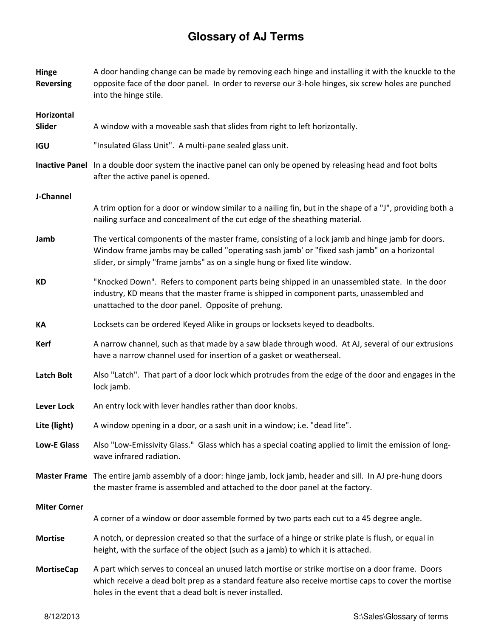| Hinge<br><b>Reversing</b> | A door handing change can be made by removing each hinge and installing it with the knuckle to the<br>opposite face of the door panel. In order to reverse our 3-hole hinges, six screw holes are punched<br>into the hinge stile.                                           |
|---------------------------|------------------------------------------------------------------------------------------------------------------------------------------------------------------------------------------------------------------------------------------------------------------------------|
| Horizontal<br>Slider      | A window with a moveable sash that slides from right to left horizontally.                                                                                                                                                                                                   |
| <b>IGU</b>                | "Insulated Glass Unit". A multi-pane sealed glass unit.                                                                                                                                                                                                                      |
|                           | Inactive Panel In a double door system the inactive panel can only be opened by releasing head and foot bolts<br>after the active panel is opened.                                                                                                                           |
| J-Channel                 |                                                                                                                                                                                                                                                                              |
|                           | A trim option for a door or window similar to a nailing fin, but in the shape of a "J", providing both a<br>nailing surface and concealment of the cut edge of the sheathing material.                                                                                       |
| Jamb                      | The vertical components of the master frame, consisting of a lock jamb and hinge jamb for doors.<br>Window frame jambs may be called "operating sash jamb' or "fixed sash jamb" on a horizontal<br>slider, or simply "frame jambs" as on a single hung or fixed lite window. |
| <b>KD</b>                 | "Knocked Down". Refers to component parts being shipped in an unassembled state. In the door<br>industry, KD means that the master frame is shipped in component parts, unassembled and<br>unattached to the door panel. Opposite of prehung.                                |
| KA                        | Locksets can be ordered Keyed Alike in groups or locksets keyed to deadbolts.                                                                                                                                                                                                |
| <b>Kerf</b>               | A narrow channel, such as that made by a saw blade through wood. At AJ, several of our extrusions<br>have a narrow channel used for insertion of a gasket or weatherseal.                                                                                                    |
| <b>Latch Bolt</b>         | Also "Latch". That part of a door lock which protrudes from the edge of the door and engages in the<br>lock jamb.                                                                                                                                                            |
| <b>Lever Lock</b>         | An entry lock with lever handles rather than door knobs.                                                                                                                                                                                                                     |
| Lite (light)              | A window opening in a door, or a sash unit in a window; i.e. "dead lite".                                                                                                                                                                                                    |
| Low-E Glass               | Also "Low-Emissivity Glass." Glass which has a special coating applied to limit the emission of long-<br>wave infrared radiation.                                                                                                                                            |
|                           | Master Frame The entire jamb assembly of a door: hinge jamb, lock jamb, header and sill. In AJ pre-hung doors<br>the master frame is assembled and attached to the door panel at the factory.                                                                                |
| <b>Miter Corner</b>       |                                                                                                                                                                                                                                                                              |
|                           | A corner of a window or door assemble formed by two parts each cut to a 45 degree angle.                                                                                                                                                                                     |
| <b>Mortise</b>            | A notch, or depression created so that the surface of a hinge or strike plate is flush, or equal in<br>height, with the surface of the object (such as a jamb) to which it is attached.                                                                                      |
| <b>MortiseCap</b>         | A part which serves to conceal an unused latch mortise or strike mortise on a door frame. Doors<br>which receive a dead bolt prep as a standard feature also receive mortise caps to cover the mortise<br>holes in the event that a dead bolt is never installed.            |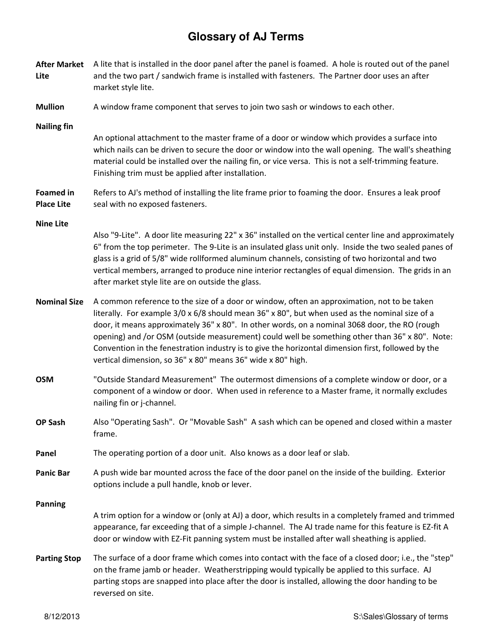- After Market A lite that is installed in the door panel after the panel is foamed. A hole is routed out of the panel Lite and the two part / sandwich frame is installed with fasteners. The Partner door uses an after market style lite.
- Mullion A window frame component that serves to join two sash or windows to each other.

Nailing fin

An optional attachment to the master frame of a door or window which provides a surface into which nails can be driven to secure the door or window into the wall opening. The wall's sheathing material could be installed over the nailing fin, or vice versa. This is not a self-trimming feature. Finishing trim must be applied after installation.

Foamed in Place Lite Refers to AJ's method of installing the lite frame prior to foaming the door. Ensures a leak proof seal with no exposed fasteners.

#### Nine Lite

Also "9-Lite". A door lite measuring 22" x 36" installed on the vertical center line and approximately 6" from the top perimeter. The 9-Lite is an insulated glass unit only. Inside the two sealed panes of glass is a grid of 5/8" wide rollformed aluminum channels, consisting of two horizontal and two vertical members, arranged to produce nine interior rectangles of equal dimension. The grids in an after market style lite are on outside the glass.

- Nominal Size A common reference to the size of a door or window, often an approximation, not to be taken literally. For example 3/0 x 6/8 should mean 36" x 80", but when used as the nominal size of a door, it means approximately 36" x 80". In other words, on a nominal 3068 door, the RO (rough opening) and /or OSM (outside measurement) could well be something other than 36" x 80". Note: Convention in the fenestration industry is to give the horizontal dimension first, followed by the vertical dimension, so 36" x 80" means 36" wide x 80" high.
- OSM "Outside Standard Measurement" The outermost dimensions of a complete window or door, or a component of a window or door. When used in reference to a Master frame, it normally excludes nailing fin or j-channel.
- OP Sash Also "Operating Sash". Or "Movable Sash" A sash which can be opened and closed within a master frame.
- Panel The operating portion of a door unit. Also knows as a door leaf or slab.
- Panic Bar A push wide bar mounted across the face of the door panel on the inside of the building. Exterior options include a pull handle, knob or lever.

Panning

- A trim option for a window or (only at AJ) a door, which results in a completely framed and trimmed appearance, far exceeding that of a simple J-channel. The AJ trade name for this feature is EZ-fit A door or window with EZ-Fit panning system must be installed after wall sheathing is applied.
- Parting Stop The surface of a door frame which comes into contact with the face of a closed door; i.e., the "step" on the frame jamb or header. Weatherstripping would typically be applied to this surface. AJ parting stops are snapped into place after the door is installed, allowing the door handing to be reversed on site.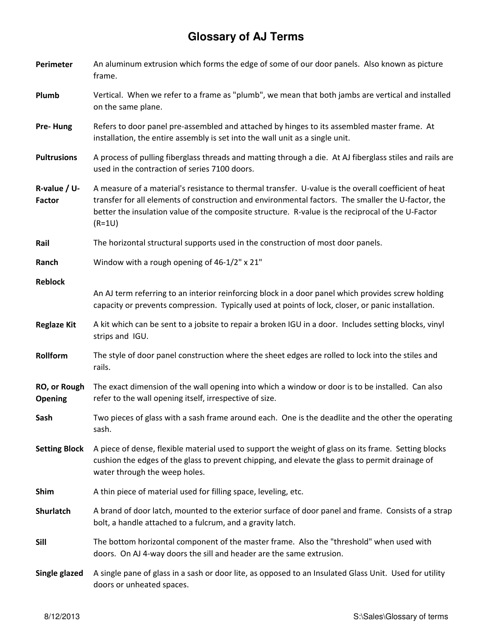| Perimeter                      | An aluminum extrusion which forms the edge of some of our door panels. Also known as picture<br>frame.                                                                                                                                                                                                                      |
|--------------------------------|-----------------------------------------------------------------------------------------------------------------------------------------------------------------------------------------------------------------------------------------------------------------------------------------------------------------------------|
| Plumb                          | Vertical. When we refer to a frame as "plumb", we mean that both jambs are vertical and installed<br>on the same plane.                                                                                                                                                                                                     |
| Pre-Hung                       | Refers to door panel pre-assembled and attached by hinges to its assembled master frame. At<br>installation, the entire assembly is set into the wall unit as a single unit.                                                                                                                                                |
| <b>Pultrusions</b>             | A process of pulling fiberglass threads and matting through a die. At AJ fiberglass stiles and rails are<br>used in the contraction of series 7100 doors.                                                                                                                                                                   |
| R-value / U-<br><b>Factor</b>  | A measure of a material's resistance to thermal transfer. U-value is the overall coefficient of heat<br>transfer for all elements of construction and environmental factors. The smaller the U-factor, the<br>better the insulation value of the composite structure. R-value is the reciprocal of the U-Factor<br>$(R=1U)$ |
| Rail                           | The horizontal structural supports used in the construction of most door panels.                                                                                                                                                                                                                                            |
| Ranch                          | Window with a rough opening of 46-1/2" x 21"                                                                                                                                                                                                                                                                                |
| <b>Reblock</b>                 |                                                                                                                                                                                                                                                                                                                             |
|                                | An AJ term referring to an interior reinforcing block in a door panel which provides screw holding<br>capacity or prevents compression. Typically used at points of lock, closer, or panic installation.                                                                                                                    |
| <b>Reglaze Kit</b>             | A kit which can be sent to a jobsite to repair a broken IGU in a door. Includes setting blocks, vinyl<br>strips and IGU.                                                                                                                                                                                                    |
| Rollform                       | The style of door panel construction where the sheet edges are rolled to lock into the stiles and<br>rails.                                                                                                                                                                                                                 |
| RO, or Rough<br><b>Opening</b> | The exact dimension of the wall opening into which a window or door is to be installed. Can also<br>refer to the wall opening itself, irrespective of size.                                                                                                                                                                 |
| Sash                           | Two pieces of glass with a sash frame around each. One is the deadlite and the other the operating<br>sash.                                                                                                                                                                                                                 |
| <b>Setting Block</b>           | A piece of dense, flexible material used to support the weight of glass on its frame. Setting blocks<br>cushion the edges of the glass to prevent chipping, and elevate the glass to permit drainage of<br>water through the weep holes.                                                                                    |
| Shim                           | A thin piece of material used for filling space, leveling, etc.                                                                                                                                                                                                                                                             |
| <b>Shurlatch</b>               | A brand of door latch, mounted to the exterior surface of door panel and frame. Consists of a strap<br>bolt, a handle attached to a fulcrum, and a gravity latch.                                                                                                                                                           |
| Sill                           | The bottom horizontal component of the master frame. Also the "threshold" when used with<br>doors. On AJ 4-way doors the sill and header are the same extrusion.                                                                                                                                                            |
| Single glazed                  | A single pane of glass in a sash or door lite, as opposed to an Insulated Glass Unit. Used for utility<br>doors or unheated spaces.                                                                                                                                                                                         |